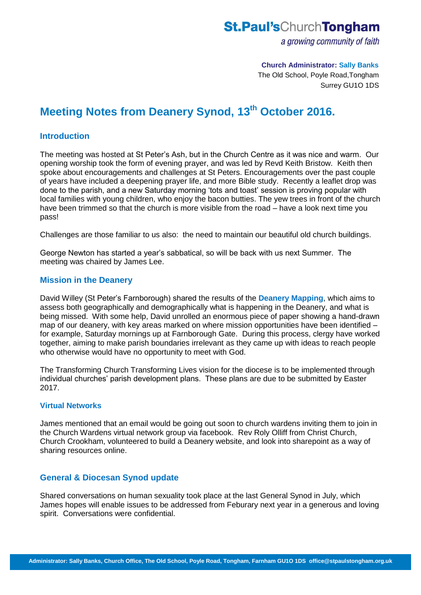# **St.Paul's**ChurchTongham

a growing community of faith

## **Church Administrator: Sally Banks**

The Old School, Poyle Road,Tongham Surrey GU1O 1DS

# **Meeting Notes from Deanery Synod, 13th October 2016.**

### **Introduction**

The meeting was hosted at St Peter's Ash, but in the Church Centre as it was nice and warm. Our opening worship took the form of evening prayer, and was led by Revd Keith Bristow. Keith then spoke about encouragements and challenges at St Peters. Encouragements over the past couple of years have included a deepening prayer life, and more Bible study. Recently a leaflet drop was done to the parish, and a new Saturday morning 'tots and toast' session is proving popular with local families with young children, who enjoy the bacon butties. The yew trees in front of the church have been trimmed so that the church is more visible from the road – have a look next time you pass!

Challenges are those familiar to us also: the need to maintain our beautiful old church buildings.

George Newton has started a year's sabbatical, so will be back with us next Summer. The meeting was chaired by James Lee.

#### **Mission in the Deanery**

David Willey (St Peter's Farnborough) shared the results of the **Deanery Mapping**, which aims to assess both geographically and demographically what is happening in the Deanery, and what is being missed. With some help, David unrolled an enormous piece of paper showing a hand-drawn map of our deanery, with key areas marked on where mission opportunities have been identified – for example, Saturday mornings up at Farnborough Gate. During this process, clergy have worked together, aiming to make parish boundaries irrelevant as they came up with ideas to reach people who otherwise would have no opportunity to meet with God.

The Transforming Church Transforming Lives vision for the diocese is to be implemented through individual churches' parish development plans. These plans are due to be submitted by Easter 2017.

#### **Virtual Networks**

James mentioned that an email would be going out soon to church wardens inviting them to join in the Church Wardens virtual network group via facebook. Rev Roly Olliff from Christ Church, Church Crookham, volunteered to build a Deanery website, and look into sharepoint as a way of sharing resources online.

### **General & Diocesan Synod update**

Shared conversations on human sexuality took place at the last General Synod in July, which James hopes will enable issues to be addressed from Feburary next year in a generous and loving spirit. Conversations were confidential.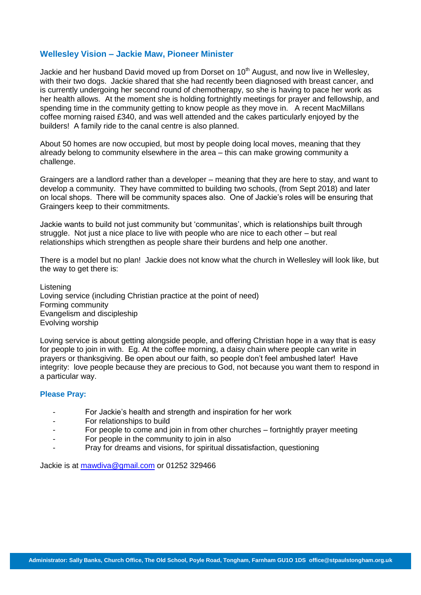#### **Wellesley Vision – Jackie Maw, Pioneer Minister**

Jackie and her husband David moved up from Dorset on  $10<sup>th</sup>$  August, and now live in Wellesley, with their two dogs. Jackie shared that she had recently been diagnosed with breast cancer, and is currently undergoing her second round of chemotherapy, so she is having to pace her work as her health allows. At the moment she is holding fortnightly meetings for prayer and fellowship, and spending time in the community getting to know people as they move in. A recent MacMillans coffee morning raised £340, and was well attended and the cakes particularly enjoyed by the builders! A family ride to the canal centre is also planned.

About 50 homes are now occupied, but most by people doing local moves, meaning that they already belong to community elsewhere in the area – this can make growing community a challenge.

Graingers are a landlord rather than a developer – meaning that they are here to stay, and want to develop a community. They have committed to building two schools, (from Sept 2018) and later on local shops. There will be community spaces also. One of Jackie's roles will be ensuring that Graingers keep to their commitments.

Jackie wants to build not just community but 'communitas', which is relationships built through struggle. Not just a nice place to live with people who are nice to each other – but real relationships which strengthen as people share their burdens and help one another.

There is a model but no plan! Jackie does not know what the church in Wellesley will look like, but the way to get there is:

Listening Loving service (including Christian practice at the point of need) Forming community Evangelism and discipleship Evolving worship

Loving service is about getting alongside people, and offering Christian hope in a way that is easy for people to join in with. Eg. At the coffee morning, a daisy chain where people can write in prayers or thanksgiving. Be open about our faith, so people don't feel ambushed later! Have integrity: love people because they are precious to God, not because you want them to respond in a particular way.

#### **Please Pray:**

- For Jackie's health and strength and inspiration for her work
- For relationships to build
- For people to come and join in from other churches fortnightly prayer meeting
- For people in the community to join in also
- Pray for dreams and visions, for spiritual dissatisfaction, questioning

Jackie is at [mawdiva@gmail.com](mailto:mawdiva@gmail.com) or 01252 329466